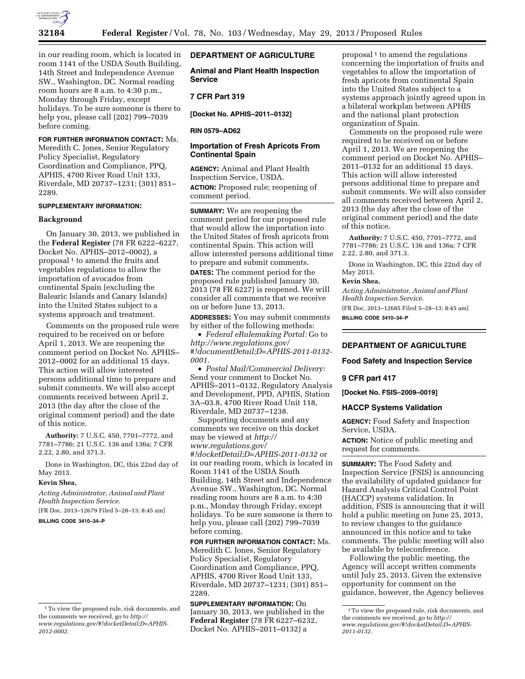

in our reading room, which is located in room 1141 of the USDA South Building, 14th Street and Independence Avenue SW., Washington, DC. Normal reading room hours are 8 a.m. to 4:30 p.m., Monday through Friday, except holidays. To be sure someone is there to help you, please call (202) 799–7039 before coming.

## **FOR FURTHER INFORMATION CONTACT:** Ms.

Meredith C. Jones, Senior Regulatory Policy Specialist, Regulatory Coordination and Compliance, PPQ, APHIS, 4700 River Road Unit 133, Riverdale, MD 20737–1231; (301) 851– 2289.

# **SUPPLEMENTARY INFORMATION:**

### **Background**

On January 30, 2013, we published in the **Federal Register** (78 FR 6222–6227, Docket No. APHIS–2012–0002), a proposal<sup>1</sup> to amend the fruits and vegetables regulations to allow the importation of avocados from continental Spain (excluding the Balearic Islands and Canary Islands) into the United States subject to a systems approach and treatment.

Comments on the proposed rule were required to be received on or before April 1, 2013. We are reopening the comment period on Docket No. APHIS– 2012–0002 for an additional 15 days. This action will allow interested persons additional time to prepare and submit comments. We will also accept comments received between April 2, 2013 (the day after the close of the original comment period) and the date of this notice.

**Authority:** 7 U.S.C. 450, 7701–7772, and 7781–7786; 21 U.S.C. 136 and 136a; 7 CFR 2.22, 2.80, and 371.3.

Done in Washington, DC, this 22nd day of May 2013.

#### **Kevin Shea,**

*Acting Administrator, Animal and Plant Health Inspection Service.* 

[FR Doc. 2013–12679 Filed 5–28–13; 8:45 am] **BILLING CODE 3410–34–P** 

# **DEPARTMENT OF AGRICULTURE**

**Animal and Plant Health Inspection Service** 

# **7 CFR Part 319**

**[Docket No. APHIS–2011–0132]** 

### **RIN 0579–AD62**

# **Importation of Fresh Apricots From Continental Spain**

**AGENCY:** Animal and Plant Health Inspection Service, USDA.

**ACTION:** Proposed rule; reopening of comment period.

**SUMMARY:** We are reopening the comment period for our proposed rule that would allow the importation into the United States of fresh apricots from continental Spain. This action will allow interested persons additional time to prepare and submit comments.

**DATES:** The comment period for the proposed rule published January 30, 2013 (78 FR 6227) is reopened. We will consider all comments that we receive on or before June 13, 2013.

**ADDRESSES:** You may submit comments by either of the following methods:

• *Federal eRulemaking Portal:* Go to *[http://www.regulations.gov/](http://www.regulations.gov/#!documentDetail;D=APHIS-2011-0132-0001)  [#!documentDetail;D=APHIS-2011-0132-](http://www.regulations.gov/#!documentDetail;D=APHIS-2011-0132-0001) [0001.](http://www.regulations.gov/#!documentDetail;D=APHIS-2011-0132-0001)* 

• *Postal Mail/Commercial Delivery:*  Send your comment to Docket No. APHIS–2011–0132, Regulatory Analysis and Development, PPD, APHIS, Station 3A–03.8, 4700 River Road Unit 118, Riverdale, MD 20737–1238.

Supporting documents and any comments we receive on this docket may be viewed at *[http://](http://www.regulations.gov/#!docketDetail;D=APHIS-2011-0132)  [www.regulations.gov/](http://www.regulations.gov/#!docketDetail;D=APHIS-2011-0132) [#!docketDetail;D=APHIS-2011-0132](http://www.regulations.gov/#!docketDetail;D=APHIS-2011-0132)* or in our reading room, which is located in Room 1141 of the USDA South Building, 14th Street and Independence Avenue SW., Washington, DC. Normal reading room hours are 8 a.m. to 4:30 p.m., Monday through Friday, except holidays. To be sure someone is there to help you, please call (202) 799–7039 before coming.

**FOR FURTHER INFORMATION CONTACT:** Ms. Meredith C. Jones, Senior Regulatory Policy Specialist, Regulatory Coordination and Compliance, PPQ, APHIS, 4700 River Road Unit 133, Riverdale, MD 20737–1231; (301) 851– 2289.

**SUPPLEMENTARY INFORMATION:** On January 30, 2013, we published in the **Federal Register** (78 FR 6227–6232, Docket No. APHIS–2011–0132) a

proposal  $<sup>1</sup>$  to amend the regulations</sup> concerning the importation of fruits and vegetables to allow the importation of fresh apricots from continental Spain into the United States subject to a systems approach jointly agreed upon in a bilateral workplan between APHIS and the national plant protection organization of Spain.

Comments on the proposed rule were required to be received on or before April 1, 2013. We are reopening the comment period on Docket No. APHIS– 2011–0132 for an additional 15 days. This action will allow interested persons additional time to prepare and submit comments. We will also consider all comments received between April 2, 2013 (the day after the close of the original comment period) and the date of this notice.

**Authority:** 7 U.S.C. 450, 7701–7772, and 7781–7786; 21 U.S.C. 136 and 136a; 7 CFR 2.22, 2.80, and 371.3.

Done in Washington, DC, this 22nd day of May 2013.

# **Kevin Shea,**

*Acting Administrator, Animal and Plant Health Inspection Service.* 

[FR Doc. 2013–12685 Filed 5–28–13; 8:45 am] **BILLING CODE 3410–34–P** 

# **DEPARTMENT OF AGRICULTURE**

## **Food Safety and Inspection Service**

#### **9 CFR part 417**

**[Docket No. FSIS–2009–0019]** 

### **HACCP Systems Validation**

**AGENCY:** Food Safety and Inspection Service, USDA.

**ACTION:** Notice of public meeting and request for comments.

**SUMMARY:** The Food Safety and Inspection Service (FSIS) is announcing the availability of updated guidance for Hazard Analysis Critical Control Point (HACCP) systems validation. In addition, FSIS is announcing that it will hold a public meeting on June 25, 2013, to review changes to the guidance announced in this notice and to take comments. The public meeting will also be available by teleconference.

Following the public meeting, the Agency will accept written comments until July 25, 2013. Given the extensive opportunity for comment on the guidance, however, the Agency believes

<sup>1</sup>To view the proposed rule, risk documents, and the comments we received, go to *[http://](http://www.regulations.gov/#!docketDetail;D=APHIS-2012-0002) [www.regulations.gov/#!docketDetail;D=APHIS-](http://www.regulations.gov/#!docketDetail;D=APHIS-2012-0002)[2012-0002.](http://www.regulations.gov/#!docketDetail;D=APHIS-2012-0002)* 

<sup>1</sup>To view the proposed rule, risk documents, and the comments we received, go to *[http://](http://www.regulations.gov/#!docketDetail;D=APHIS-2011-0132) [www.regulations.gov/#!docketDetail;D=APHIS-](http://www.regulations.gov/#!docketDetail;D=APHIS-2011-0132)[2011-0132.](http://www.regulations.gov/#!docketDetail;D=APHIS-2011-0132)*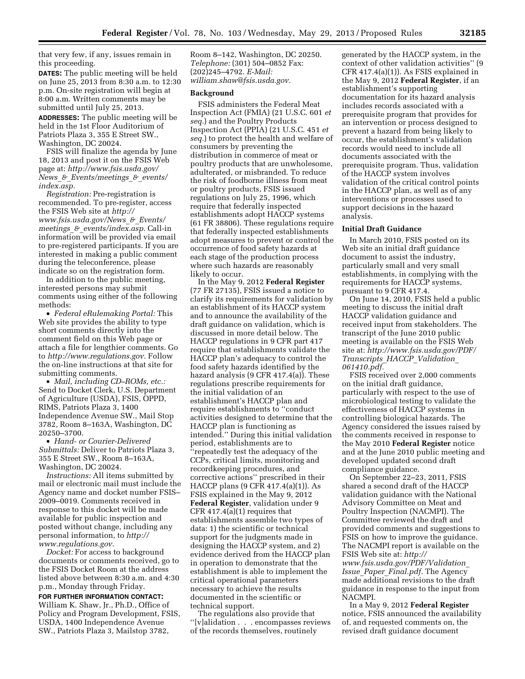that very few, if any, issues remain in this proceeding.

**DATES:** The public meeting will be held on June 25, 2013 from 8:30 a.m. to 12:30 p.m. On-site registration will begin at 8:00 a.m. Written comments may be submitted until July 25, 2013.

**ADDRESSES:** The public meeting will be held in the 1st Floor Auditorium of Patriots Plaza 3, 355 E Street SW., Washington, DC 20024.

FSIS will finalize the agenda by June 18, 2013 and post it on the FSIS Web page at: *[http://www.fsis.usda.gov/](http://www.fsis.usda.gov/News_&_Events/meetings_&_events/index.asp)  News*\_*&*\_*[Events/meetings](http://www.fsis.usda.gov/News_&_Events/meetings_&_events/index.asp)*\_*&*\_*events/ [index.asp.](http://www.fsis.usda.gov/News_&_Events/meetings_&_events/index.asp)* 

*Registration:* Pre-registration is recommended. To pre-register, access the FSIS Web site at *[http://](http://www.fsis.usda.gov/News_&_Events/meetings_&_events/index.asp)  [www.fsis.usda.gov/News](http://www.fsis.usda.gov/News_&_Events/meetings_&_events/index.asp)*\_*&*\_*Events/ meetings*\_*&*\_*[events/index.asp.](http://www.fsis.usda.gov/News_&_Events/meetings_&_events/index.asp)* Call-in information will be provided via email to pre-registered participants. If you are interested in making a public comment during the teleconference, please indicate so on the registration form.

In addition to the public meeting, interested persons may submit comments using either of the following methods:

• *Federal eRulemaking Portal:* This Web site provides the ability to type short comments directly into the comment field on this Web page or attach a file for lengthier comments. Go to *[http://www.regulations.gov.](http://www.regulations.gov)* Follow the on-line instructions at that site for submitting comments.

• *Mail, including CD–ROMs, etc.:*  Send to Docket Clerk, U.S. Department of Agriculture (USDA), FSIS, OPPD, RIMS, Patriots Plaza 3, 1400 Independence Avenue SW., Mail Stop 3782, Room 8–163A, Washington, DC 20250–3700.

• *Hand- or Courier-Delivered Submittals:* Deliver to Patriots Plaza 3, 355 E Street SW., Room 8–163A, Washington, DC 20024.

*Instructions:* All items submitted by mail or electronic mail must include the Agency name and docket number FSIS– 2009–0019. Comments received in response to this docket will be made available for public inspection and posted without change, including any personal information, to *[http://](http://www.regulations.gov)  [www.regulations.gov.](http://www.regulations.gov)* 

*Docket:* For access to background documents or comments received, go to the FSIS Docket Room at the address listed above between 8:30 a.m. and 4:30 p.m., Monday through Friday.

**FOR FURTHER INFORMATION CONTACT:**  William K. Shaw, Jr., Ph.D., Office of Policy and Program Development, FSIS, USDA, 1400 Independence Avenue SW., Patriots Plaza 3, Mailstop 3782,

Room 8–142, Washington, DC 20250. *Telephone:* (301) 504–0852 Fax: (202)245–4792. *E-Mail: [william.shaw@fsis.usda.gov.](mailto:william.shaw@fsis.usda.gov)* 

### **Background**

FSIS administers the Federal Meat Inspection Act (FMIA) (21 U.S.C. 601 *et seq.*) and the Poultry Products Inspection Act (PPIA) (21 U.S.C. 451 *et seq.*) to protect the health and welfare of consumers by preventing the distribution in commerce of meat or poultry products that are unwholesome, adulterated, or misbranded. To reduce the risk of foodborne illness from meat or poultry products, FSIS issued regulations on July 25, 1996, which require that federally inspected establishments adopt HACCP systems (61 FR 38806). These regulations require that federally inspected establishments adopt measures to prevent or control the occurrence of food safety hazards at each stage of the production process where such hazards are reasonably likely to occur.

In the May 9, 2012 **Federal Register**  (77 FR 27135), FSIS issued a notice to clarify its requirements for validation by an establishment of its HACCP system and to announce the availability of the draft guidance on validation, which is discussed in more detail below. The HACCP regulations in 9 CFR part 417 require that establishments validate the HACCP plan's adequacy to control the food safety hazards identified by the hazard analysis (9 CFR 417.4(a)). These regulations prescribe requirements for the initial validation of an establishment's HACCP plan and require establishments to ''conduct activities designed to determine that the HACCP plan is functioning as intended.'' During this initial validation period, establishments are to ''repeatedly test the adequacy of the CCPs, critical limits, monitoring and recordkeeping procedures, and corrective actions'' prescribed in their HACCP plans (9 CFR 417.4(a)(1)). As FSIS explained in the May 9, 2012 **Federal Register**, validation under 9 CFR 417.4(a)(1) requires that establishments assemble two types of data: 1) the scientific or technical support for the judgments made in designing the HACCP system, and 2) evidence derived from the HACCP plan in operation to demonstrate that the establishment is able to implement the critical operational parameters necessary to achieve the results documented in the scientific or technical support.

The regulations also provide that ''[v]alidation . . . encompasses reviews of the records themselves, routinely

generated by the HACCP system, in the context of other validation activities'' (9 CFR 417.4(a)(1)). As FSIS explained in the May 9, 2012 **Federal Register**, if an establishment's supporting documentation for its hazard analysis includes records associated with a prerequisite program that provides for an intervention or process designed to prevent a hazard from being likely to occur, the establishment's validation records would need to include all documents associated with the prerequisite program. Thus, validation of the HACCP system involves validation of the critical control points in the HACCP plan, as well as of any interventions or processes used to support decisions in the hazard analysis.

### **Initial Draft Guidance**

In March 2010, FSIS posted on its Web site an initial draft guidance document to assist the industry, particularly small and very small establishments, in complying with the requirements for HACCP systems, pursuant to 9 CFR 417.4.

On June 14, 2010, FSIS held a public meeting to discuss the initial draft HACCP validation guidance and received input from stakeholders. The transcript of the June 2010 public meeting is available on the FSIS Web site at: *[http://www.fsis.usda.gov/PDF/](http://www.fsis.usda.gov/PDF/Transcripts_HACCP_Validation_061410.pdf) [Transcripts](http://www.fsis.usda.gov/PDF/Transcripts_HACCP_Validation_061410.pdf)*\_*HACCP*\_*Validation*\_ *[061410.pdf.](http://www.fsis.usda.gov/PDF/Transcripts_HACCP_Validation_061410.pdf)* 

FSIS received over 2,000 comments on the initial draft guidance, particularly with respect to the use of microbiological testing to validate the effectiveness of HACCP systems in controlling biological hazards. The Agency considered the issues raised by the comments received in response to the May 2010 **Federal Register** notice and at the June 2010 public meeting and developed updated second draft compliance guidance.

On September 22–23, 2011, FSIS shared a second draft of the HACCP validation guidance with the National Advisory Committee on Meat and Poultry Inspection (NACMPI). The Committee reviewed the draft and provided comments and suggestions to FSIS on how to improve the guidance. The NACMPI report is available on the FSIS Web site at: *[http://](http://www.fsis.usda.gov/PDF/Validation_Issue_Paper_Final.pdf) [www.fsis.usda.gov/PDF/Validation](http://www.fsis.usda.gov/PDF/Validation_Issue_Paper_Final.pdf)*\_ *Issue*\_*Paper*\_*[Final.pdf.](http://www.fsis.usda.gov/PDF/Validation_Issue_Paper_Final.pdf)* The Agency

made additional revisions to the draft guidance in response to the input from NACMPI.

In a May 9, 2012 **Federal Register**  notice, FSIS announced the availability of, and requested comments on, the revised draft guidance document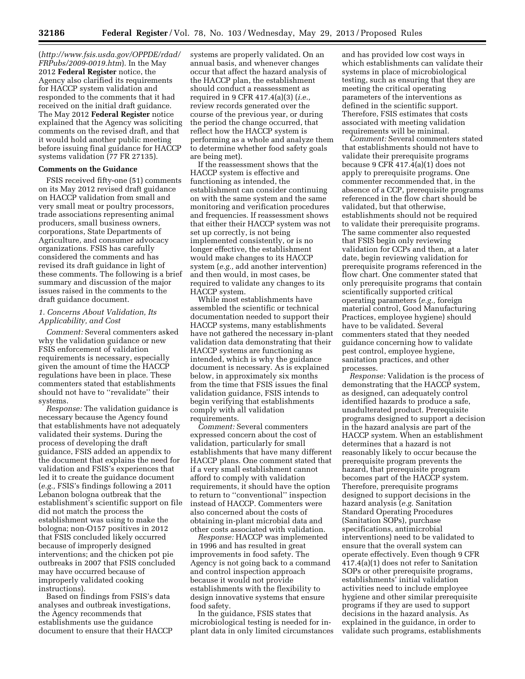(*[http://www.fsis.usda.gov/OPPDE/rdad/](http://www.fsis.usda.gov/OPPDE/rdad/FRPubs/2009-0019.htm) [FRPubs/2009-0019.htm](http://www.fsis.usda.gov/OPPDE/rdad/FRPubs/2009-0019.htm)*). In the May 2012 **Federal Register** notice, the Agency also clarified its requirements for HACCP system validation and responded to the comments that it had received on the initial draft guidance. The May 2012 **Federal Register** notice explained that the Agency was soliciting comments on the revised draft, and that it would hold another public meeting before issuing final guidance for HACCP systems validation (77 FR 27135).

# **Comments on the Guidance**

FSIS received fifty-one (51) comments on its May 2012 revised draft guidance on HACCP validation from small and very small meat or poultry processors, trade associations representing animal producers, small business owners, corporations, State Departments of Agriculture, and consumer advocacy organizations. FSIS has carefully considered the comments and has revised its draft guidance in light of these comments. The following is a brief summary and discussion of the major issues raised in the comments to the draft guidance document.

# *1. Concerns About Validation, Its Applicability, and Cost*

*Comment:* Several commenters asked why the validation guidance or new FSIS enforcement of validation requirements is necessary, especially given the amount of time the HACCP regulations have been in place. These commenters stated that establishments should not have to ''revalidate'' their systems.

*Response:* The validation guidance is necessary because the Agency found that establishments have not adequately validated their systems. During the process of developing the draft guidance, FSIS added an appendix to the document that explains the need for validation and FSIS's experiences that led it to create the guidance document (*e.g.,* FSIS's findings following a 2011 Lebanon bologna outbreak that the establishment's scientific support on file did not match the process the establishment was using to make the bologna; non-O157 positives in 2012 that FSIS concluded likely occurred because of improperly designed interventions; and the chicken pot pie outbreaks in 2007 that FSIS concluded may have occurred because of improperly validated cooking instructions).

Based on findings from FSIS's data analyses and outbreak investigations, the Agency recommends that establishments use the guidance document to ensure that their HACCP systems are properly validated. On an annual basis, and whenever changes occur that affect the hazard analysis of the HACCP plan, the establishment should conduct a reassessment as required in 9 CFR 417.4(a)(3) (*i.e.,*  review records generated over the course of the previous year, or during the period the change occurred, that reflect how the HACCP system is performing as a whole and analyze them to determine whether food safety goals are being met).

If the reassessment shows that the HACCP system is effective and functioning as intended, the establishment can consider continuing on with the same system and the same monitoring and verification procedures and frequencies. If reassessment shows that either their HACCP system was not set up correctly, is not being implemented consistently, or is no longer effective, the establishment would make changes to its HACCP system (*e.g.,* add another intervention) and then would, in most cases, be required to validate any changes to its HACCP system.

While most establishments have assembled the scientific or technical documentation needed to support their HACCP systems, many establishments have not gathered the necessary in-plant validation data demonstrating that their HACCP systems are functioning as intended, which is why the guidance document is necessary. As is explained below, in approximately six months from the time that FSIS issues the final validation guidance, FSIS intends to begin verifying that establishments comply with all validation requirements.

*Comment:* Several commenters expressed concern about the cost of validation, particularly for small establishments that have many different HACCP plans. One comment stated that if a very small establishment cannot afford to comply with validation requirements, it should have the option to return to ''conventional'' inspection instead of HACCP. Commenters were also concerned about the costs of obtaining in-plant microbial data and other costs associated with validation.

*Response:* HACCP was implemented in 1996 and has resulted in great improvements in food safety. The Agency is not going back to a command and control inspection approach because it would not provide establishments with the flexibility to design innovative systems that ensure food safety.

In the guidance, FSIS states that microbiological testing is needed for inplant data in only limited circumstances

and has provided low cost ways in which establishments can validate their systems in place of microbiological testing, such as ensuring that they are meeting the critical operating parameters of the interventions as defined in the scientific support. Therefore, FSIS estimates that costs associated with meeting validation requirements will be minimal.

*Comment:* Several commenters stated that establishments should not have to validate their prerequisite programs because 9 CFR 417.4(a)(1) does not apply to prerequisite programs. One commenter recommended that, in the absence of a CCP, prerequisite programs referenced in the flow chart should be validated, but that otherwise, establishments should not be required to validate their prerequisite programs. The same commenter also requested that FSIS begin only reviewing validation for CCPs and then, at a later date, begin reviewing validation for prerequisite programs referenced in the flow chart. One commenter stated that only prerequisite programs that contain scientifically supported critical operating parameters (*e.g.,* foreign material control, Good Manufacturing Practices, employee hygiene) should have to be validated. Several commenters stated that they needed guidance concerning how to validate pest control, employee hygiene, sanitation practices, and other processes.

*Response:* Validation is the process of demonstrating that the HACCP system, as designed, can adequately control identified hazards to produce a safe, unadulterated product. Prerequisite programs designed to support a decision in the hazard analysis are part of the HACCP system. When an establishment determines that a hazard is not reasonably likely to occur because the prerequisite program prevents the hazard, that prerequisite program becomes part of the HACCP system. Therefore, prerequisite programs designed to support decisions in the hazard analysis (*e.g.* Sanitation Standard Operating Procedures (Sanitation SOPs), purchase specifications, antimicrobial interventions) need to be validated to ensure that the overall system can operate effectively. Even though 9 CFR 417.4(a)(1) does not refer to Sanitation SOPs or other prerequisite programs, establishments' initial validation activities need to include employee hygiene and other similar prerequisite programs if they are used to support decisions in the hazard analysis. As explained in the guidance, in order to validate such programs, establishments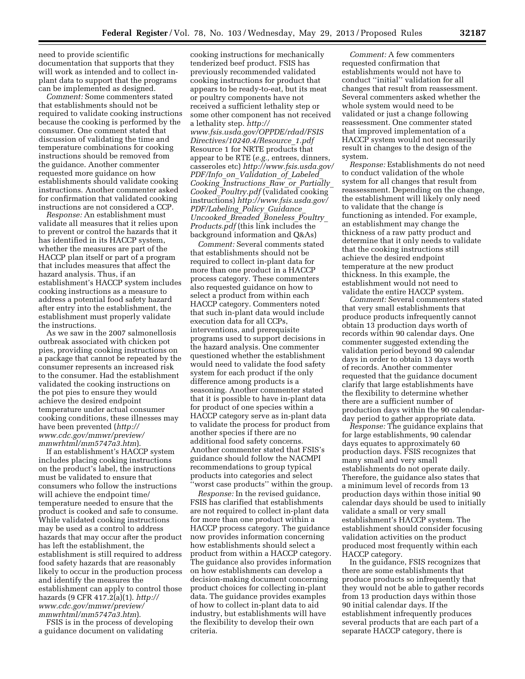need to provide scientific documentation that supports that they will work as intended and to collect inplant data to support that the programs can be implemented as designed.

*Comment:* Some commenters stated that establishments should not be required to validate cooking instructions because the cooking is performed by the consumer. One comment stated that discussion of validating the time and temperature combinations for cooking instructions should be removed from the guidance. Another commenter requested more guidance on how establishments should validate cooking instructions. Another commenter asked for confirmation that validated cooking instructions are not considered a CCP.

*Response:* An establishment must validate all measures that it relies upon to prevent or control the hazards that it has identified in its HACCP system, whether the measures are part of the HACCP plan itself or part of a program that includes measures that affect the hazard analysis. Thus, if an establishment's HACCP system includes cooking instructions as a measure to address a potential food safety hazard after entry into the establishment, the establishment must properly validate the instructions.

As we saw in the 2007 salmonellosis outbreak associated with chicken pot pies, providing cooking instructions on a package that cannot be repeated by the consumer represents an increased risk to the consumer. Had the establishment validated the cooking instructions on the pot pies to ensure they would achieve the desired endpoint temperature under actual consumer cooking conditions, these illnesses may have been prevented (*[http://](http://www.cdc.gov/mmwr/preview/mmwrhtml/mm5747a3.htm) [www.cdc.gov/mmwr/preview/](http://www.cdc.gov/mmwr/preview/mmwrhtml/mm5747a3.htm) [mmwrhtml/mm5747a3.htm](http://www.cdc.gov/mmwr/preview/mmwrhtml/mm5747a3.htm)*).

If an establishment's HACCP system includes placing cooking instructions on the product's label, the instructions must be validated to ensure that consumers who follow the instructions will achieve the endpoint time/ temperature needed to ensure that the product is cooked and safe to consume. While validated cooking instructions may be used as a control to address hazards that may occur after the product has left the establishment, the establishment is still required to address food safety hazards that are reasonably likely to occur in the production process and identify the measures the establishment can apply to control those hazards (9 CFR 417.2(a)(1). *[http://](http://www.cdc.gov/mmwr/preview/mmwrhtml/mm5747a3.htm) [www.cdc.gov/mmwr/preview/](http://www.cdc.gov/mmwr/preview/mmwrhtml/mm5747a3.htm) [mmwrhtml/mm5747a3.htm](http://www.cdc.gov/mmwr/preview/mmwrhtml/mm5747a3.htm)*).

FSIS is in the process of developing a guidance document on validating

cooking instructions for mechanically tenderized beef product. FSIS has previously recommended validated cooking instructions for product that appears to be ready-to-eat, but its meat or poultry components have not received a sufficient lethality step or some other component has not received a lethality step. *[http://](http://www.fsis.usda.gov/OPPDE/rdad/FSISDirectives/10240.4/Resource_1.pdf) [www.fsis.usda.gov/OPPDE/rdad/FSIS](http://www.fsis.usda.gov/OPPDE/rdad/FSISDirectives/10240.4/Resource_1.pdf) [Directives/10240.4/Resource](http://www.fsis.usda.gov/OPPDE/rdad/FSISDirectives/10240.4/Resource_1.pdf)*\_*1.pdf*  Resource 1 for NRTE products that appear to be RTE (*e.g.,* entrees, dinners, casseroles etc) *[http://www.fsis.usda.gov/](http://www.fsis.usda.gov/PDF/Info_on_Validation_of_Labeled_Cooking_Instructions_Raw_or_Partially_Cooked_Poultry.pdf) PDF/Info*\_*on*\_*[Validation](http://www.fsis.usda.gov/PDF/Info_on_Validation_of_Labeled_Cooking_Instructions_Raw_or_Partially_Cooked_Poultry.pdf)*\_*of*\_*Labeled*\_ *Cooking*\_*[Instructions](http://www.fsis.usda.gov/PDF/Info_on_Validation_of_Labeled_Cooking_Instructions_Raw_or_Partially_Cooked_Poultry.pdf)*\_*Raw*\_*or*\_*Partially*\_ *Cooked*\_*[Poultry.pdf](http://www.fsis.usda.gov/PDF/Info_on_Validation_of_Labeled_Cooking_Instructions_Raw_or_Partially_Cooked_Poultry.pdf)* (validated cooking instructions) *[http://www.fsis.usda.gov/](http://www.fsis.usda.gov/PDF/Labeling_Policy_Guidance_Uncooked_Breaded_Boneless_Poultry_Products.pdf) [PDF/Labeling](http://www.fsis.usda.gov/PDF/Labeling_Policy_Guidance_Uncooked_Breaded_Boneless_Poultry_Products.pdf)*\_*Policy*\_*Guidance*\_ *[Uncooked](http://www.fsis.usda.gov/PDF/Labeling_Policy_Guidance_Uncooked_Breaded_Boneless_Poultry_Products.pdf)*\_*Breaded*\_*Boneless*\_*Poultry*\_ *[Products.pdf](http://www.fsis.usda.gov/PDF/Labeling_Policy_Guidance_Uncooked_Breaded_Boneless_Poultry_Products.pdf)* (this link includes the background information and Q&As)

*Comment:* Several comments stated that establishments should not be required to collect in-plant data for more than one product in a HACCP process category. These commenters also requested guidance on how to select a product from within each HACCP category. Commenters noted that such in-plant data would include execution data for all CCPs, interventions, and prerequisite programs used to support decisions in the hazard analysis. One commenter questioned whether the establishment would need to validate the food safety system for each product if the only difference among products is a seasoning. Another commenter stated that it is possible to have in-plant data for product of one species within a HACCP category serve as in-plant data to validate the process for product from another species if there are no additional food safety concerns. Another commenter stated that FSIS's guidance should follow the NACMPI recommendations to group typical products into categories and select ''worst case products'' within the group.

*Response:* In the revised guidance, FSIS has clarified that establishments are not required to collect in-plant data for more than one product within a HACCP process category. The guidance now provides information concerning how establishments should select a product from within a HACCP category. The guidance also provides information on how establishments can develop a decision-making document concerning product choices for collecting in-plant data. The guidance provides examples of how to collect in-plant data to aid industry, but establishments will have the flexibility to develop their own criteria.

*Comment:* A few commenters requested confirmation that establishments would not have to conduct ''initial'' validation for all changes that result from reassessment. Several commenters asked whether the whole system would need to be validated or just a change following reassessment. One commenter stated that improved implementation of a HACCP system would not necessarily result in changes to the design of the system.

*Response:* Establishments do not need to conduct validation of the whole system for all changes that result from reassessment. Depending on the change, the establishment will likely only need to validate that the change is functioning as intended. For example, an establishment may change the thickness of a raw patty product and determine that it only needs to validate that the cooking instructions still achieve the desired endpoint temperature at the new product thickness. In this example, the establishment would not need to validate the entire HACCP system.

*Comment:* Several commenters stated that very small establishments that produce products infrequently cannot obtain 13 production days worth of records within 90 calendar days. One commenter suggested extending the validation period beyond 90 calendar days in order to obtain 13 days worth of records. Another commenter requested that the guidance document clarify that large establishments have the flexibility to determine whether there are a sufficient number of production days within the 90 calendarday period to gather appropriate data.

*Response:* The guidance explains that for large establishments, 90 calendar days equates to approximately 60 production days. FSIS recognizes that many small and very small establishments do not operate daily. Therefore, the guidance also states that a minimum level of records from 13 production days within those initial 90 calendar days should be used to initially validate a small or very small establishment's HACCP system. The establishment should consider focusing validation activities on the product produced most frequently within each HACCP category.

In the guidance, FSIS recognizes that there are some establishments that produce products so infrequently that they would not be able to gather records from 13 production days within those 90 initial calendar days. If the establishment infrequently produces several products that are each part of a separate HACCP category, there is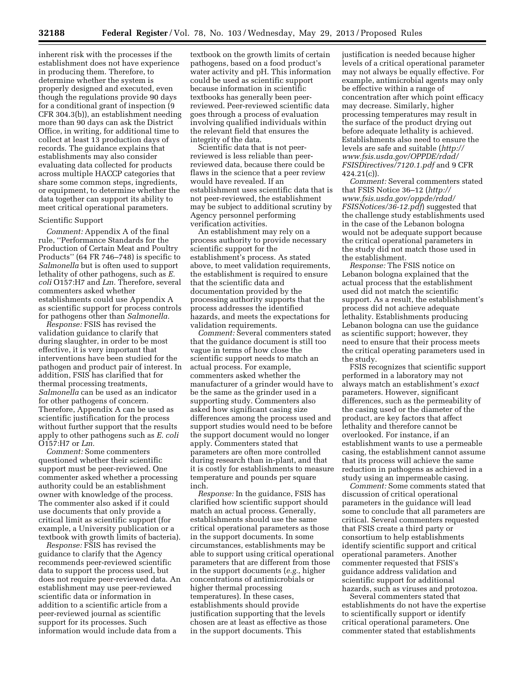inherent risk with the processes if the establishment does not have experience in producing them. Therefore, to determine whether the system is properly designed and executed, even though the regulations provide 90 days for a conditional grant of inspection (9 CFR 304.3(b)), an establishment needing more than 90 days can ask the District Office, in writing, for additional time to collect at least 13 production days of records. The guidance explains that establishments may also consider evaluating data collected for products across multiple HACCP categories that share some common steps, ingredients, or equipment, to determine whether the data together can support its ability to meet critical operational parameters.

### Scientific Support

*Comment:* Appendix A of the final rule, ''Performance Standards for the Production of Certain Meat and Poultry Products'' (64 FR 746–748) is specific to *Salmonella* but is often used to support lethality of other pathogens, such as *E. coli* O157:H7 and *Lm.* Therefore, several commenters asked whether establishments could use Appendix A as scientific support for process controls for pathogens other than *Salmonella.* 

*Response:* FSIS has revised the validation guidance to clarify that during slaughter, in order to be most effective, it is very important that interventions have been studied for the pathogen and product pair of interest. In addition, FSIS has clarified that for thermal processing treatments, *Salmonella* can be used as an indicator for other pathogens of concern. Therefore, Appendix A can be used as scientific justification for the process without further support that the results apply to other pathogens such as *E. coli*  O157:H7 or *Lm.* 

*Comment:* Some commenters questioned whether their scientific support must be peer-reviewed. One commenter asked whether a processing authority could be an establishment owner with knowledge of the process. The commenter also asked if it could use documents that only provide a critical limit as scientific support (for example, a University publication or a textbook with growth limits of bacteria).

*Response:* FSIS has revised the guidance to clarify that the Agency recommends peer-reviewed scientific data to support the process used, but does not require peer-reviewed data. An establishment may use peer-reviewed scientific data or information in addition to a scientific article from a peer-reviewed journal as scientific support for its processes. Such information would include data from a

textbook on the growth limits of certain pathogens, based on a food product's water activity and pH. This information could be used as scientific support because information in scientific textbooks has generally been peerreviewed. Peer-reviewed scientific data goes through a process of evaluation involving qualified individuals within the relevant field that ensures the integrity of the data.

Scientific data that is not peerreviewed is less reliable than peerreviewed data, because there could be flaws in the science that a peer review would have revealed. If an establishment uses scientific data that is not peer-reviewed, the establishment may be subject to additional scrutiny by Agency personnel performing verification activities.

An establishment may rely on a process authority to provide necessary scientific support for the establishment's process. As stated above, to meet validation requirements, the establishment is required to ensure that the scientific data and documentation provided by the processing authority supports that the process addresses the identified hazards, and meets the expectations for validation requirements.

*Comment:* Several commenters stated that the guidance document is still too vague in terms of how close the scientific support needs to match an actual process. For example, commenters asked whether the manufacturer of a grinder would have to be the same as the grinder used in a supporting study. Commenters also asked how significant casing size differences among the process used and support studies would need to be before the support document would no longer apply. Commenters stated that parameters are often more controlled during research than in-plant, and that it is costly for establishments to measure temperature and pounds per square inch.

*Response:* In the guidance, FSIS has clarified how scientific support should match an actual process. Generally, establishments should use the same critical operational parameters as those in the support documents. In some circumstances, establishments may be able to support using critical operational parameters that are different from those in the support documents (*e.g.,* higher concentrations of antimicrobials or higher thermal processing temperatures). In these cases, establishments should provide justification supporting that the levels chosen are at least as effective as those in the support documents. This

justification is needed because higher levels of a critical operational parameter may not always be equally effective. For example, antimicrobial agents may only be effective within a range of concentration after which point efficacy may decrease. Similarly, higher processing temperatures may result in the surface of the product drying out before adequate lethality is achieved. Establishments also need to ensure the levels are safe and suitable (*[http://](http://www.fsis.usda.gov/OPPDE/rdad/FSISDirectives/7120.1.pdf) [www.fsis.usda.gov/OPPDE/rdad/](http://www.fsis.usda.gov/OPPDE/rdad/FSISDirectives/7120.1.pdf) [FSISDirectives/7120.1.pdf](http://www.fsis.usda.gov/OPPDE/rdad/FSISDirectives/7120.1.pdf)* and 9 CFR 424.21(c)).

*Comment:* Several commenters stated that FSIS Notice 36–12 (*[http://](http://www.fsis.usda.gov/oppde/rdad/FSISNotices/36-12.pdf)  [www.fsis.usda.gov/oppde/rdad/](http://www.fsis.usda.gov/oppde/rdad/FSISNotices/36-12.pdf) [FSISNotices/36-12.pdf](http://www.fsis.usda.gov/oppde/rdad/FSISNotices/36-12.pdf)*) suggested that the challenge study establishments used in the case of the Lebanon bologna would not be adequate support because the critical operational parameters in the study did not match those used in the establishment.

*Response:* The FSIS notice on Lebanon bologna explained that the actual process that the establishment used did not match the scientific support. As a result, the establishment's process did not achieve adequate lethality. Establishments producing Lebanon bologna can use the guidance as scientific support; however, they need to ensure that their process meets the critical operating parameters used in the study.

FSIS recognizes that scientific support performed in a laboratory may not always match an establishment's *exact*  parameters. However, significant differences, such as the permeability of the casing used or the diameter of the product, are key factors that affect lethality and therefore cannot be overlooked. For instance, if an establishment wants to use a permeable casing, the establishment cannot assume that its process will achieve the same reduction in pathogens as achieved in a study using an impermeable casing.

*Comment:* Some comments stated that discussion of critical operational parameters in the guidance will lead some to conclude that all parameters are critical. Several commenters requested that FSIS create a third party or consortium to help establishments identify scientific support and critical operational parameters. Another commenter requested that FSIS's guidance address validation and scientific support for additional hazards, such as viruses and protozoa.

Several commenters stated that establishments do not have the expertise to scientifically support or identify critical operational parameters. One commenter stated that establishments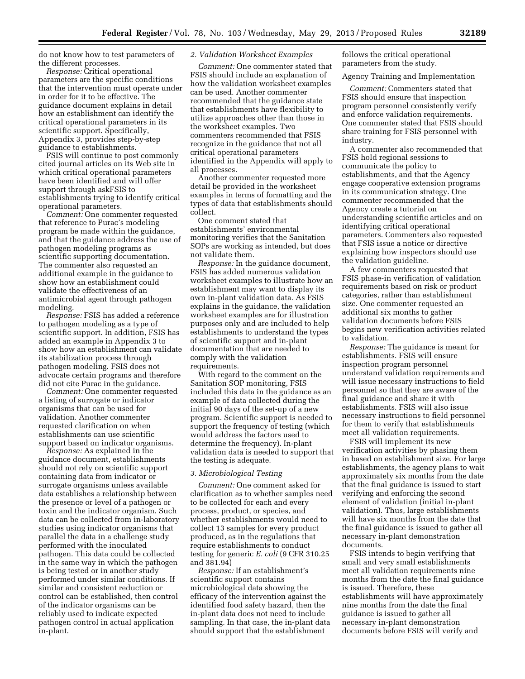do not know how to test parameters of the different processes.

*Response:* Critical operational parameters are the specific conditions that the intervention must operate under in order for it to be effective. The guidance document explains in detail how an establishment can identify the critical operational parameters in its scientific support. Specifically, Appendix 3, provides step-by-step guidance to establishments.

FSIS will continue to post commonly cited journal articles on its Web site in which critical operational parameters have been identified and will offer support through askFSIS to establishments trying to identify critical operational parameters.

*Comment:* One commenter requested that reference to Purac's modeling program be made within the guidance, and that the guidance address the use of pathogen modeling programs as scientific supporting documentation. The commenter also requested an additional example in the guidance to show how an establishment could validate the effectiveness of an antimicrobial agent through pathogen modeling.

*Response:* FSIS has added a reference to pathogen modeling as a type of scientific support. In addition, FSIS has added an example in Appendix 3 to show how an establishment can validate its stabilization process through pathogen modeling. FSIS does not advocate certain programs and therefore did not cite Purac in the guidance.

*Comment:* One commenter requested a listing of surrogate or indicator organisms that can be used for validation. Another commenter requested clarification on when establishments can use scientific support based on indicator organisms.

*Response:* As explained in the guidance document, establishments should not rely on scientific support containing data from indicator or surrogate organisms unless available data establishes a relationship between the presence or level of a pathogen or toxin and the indicator organism. Such data can be collected from in-laboratory studies using indicator organisms that parallel the data in a challenge study performed with the inoculated pathogen. This data could be collected in the same way in which the pathogen is being tested or in another study performed under similar conditions. If similar and consistent reduction or control can be established, then control of the indicator organisms can be reliably used to indicate expected pathogen control in actual application in-plant.

### *2. Validation Worksheet Examples*

*Comment:* One commenter stated that FSIS should include an explanation of how the validation worksheet examples can be used. Another commenter recommended that the guidance state that establishments have flexibility to utilize approaches other than those in the worksheet examples. Two commenters recommended that FSIS recognize in the guidance that not all critical operational parameters identified in the Appendix will apply to all processes.

Another commenter requested more detail be provided in the worksheet examples in terms of formatting and the types of data that establishments should collect.

One comment stated that establishments' environmental monitoring verifies that the Sanitation SOPs are working as intended, but does not validate them.

*Response:* In the guidance document, FSIS has added numerous validation worksheet examples to illustrate how an establishment may want to display its own in-plant validation data. As FSIS explains in the guidance, the validation worksheet examples are for illustration purposes only and are included to help establishments to understand the types of scientific support and in-plant documentation that are needed to comply with the validation requirements.

With regard to the comment on the Sanitation SOP monitoring, FSIS included this data in the guidance as an example of data collected during the initial 90 days of the set-up of a new program. Scientific support is needed to support the frequency of testing (which would address the factors used to determine the frequency). In-plant validation data is needed to support that the testing is adequate.

# *3. Microbiological Testing*

*Comment:* One comment asked for clarification as to whether samples need to be collected for each and every process, product, or species, and whether establishments would need to collect 13 samples for every product produced, as in the regulations that require establishments to conduct testing for generic *E. coli* (9 CFR 310.25 and 381.94)

*Response:* If an establishment's scientific support contains microbiological data showing the efficacy of the intervention against the identified food safety hazard, then the in-plant data does not need to include sampling. In that case, the in-plant data should support that the establishment

follows the critical operational parameters from the study.

### Agency Training and Implementation

*Comment:* Commenters stated that FSIS should ensure that inspection program personnel consistently verify and enforce validation requirements. One commenter stated that FSIS should share training for FSIS personnel with industry.

A commenter also recommended that FSIS hold regional sessions to communicate the policy to establishments, and that the Agency engage cooperative extension programs in its communication strategy. One commenter recommended that the Agency create a tutorial on understanding scientific articles and on identifying critical operational parameters. Commenters also requested that FSIS issue a notice or directive explaining how inspectors should use the validation guideline.

A few commenters requested that FSIS phase-in verification of validation requirements based on risk or product categories, rather than establishment size. One commenter requested an additional six months to gather validation documents before FSIS begins new verification activities related to validation.

*Response:* The guidance is meant for establishments. FSIS will ensure inspection program personnel understand validation requirements and will issue necessary instructions to field personnel so that they are aware of the final guidance and share it with establishments. FSIS will also issue necessary instructions to field personnel for them to verify that establishments meet all validation requirements.

FSIS will implement its new verification activities by phasing them in based on establishment size. For large establishments, the agency plans to wait approximately six months from the date that the final guidance is issued to start verifying and enforcing the second element of validation (initial in-plant validation). Thus, large establishments will have six months from the date that the final guidance is issued to gather all necessary in-plant demonstration documents.

FSIS intends to begin verifying that small and very small establishments meet all validation requirements nine months from the date the final guidance is issued. Therefore, these establishments will have approximately nine months from the date the final guidance is issued to gather all necessary in-plant demonstration documents before FSIS will verify and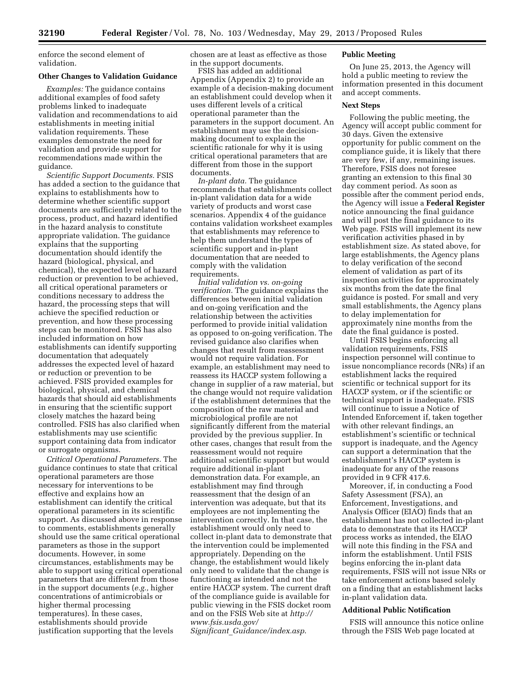enforce the second element of validation.

### **Other Changes to Validation Guidance**

*Examples:* The guidance contains additional examples of food safety problems linked to inadequate validation and recommendations to aid establishments in meeting initial validation requirements. These examples demonstrate the need for validation and provide support for recommendations made within the guidance.

*Scientific Support Documents.* FSIS has added a section to the guidance that explains to establishments how to determine whether scientific support documents are sufficiently related to the process, product, and hazard identified in the hazard analysis to constitute appropriate validation. The guidance explains that the supporting documentation should identify the hazard (biological, physical, and chemical), the expected level of hazard reduction or prevention to be achieved, all critical operational parameters or conditions necessary to address the hazard, the processing steps that will achieve the specified reduction or prevention, and how these processing steps can be monitored. FSIS has also included information on how establishments can identify supporting documentation that adequately addresses the expected level of hazard or reduction or prevention to be achieved. FSIS provided examples for biological, physical, and chemical hazards that should aid establishments in ensuring that the scientific support closely matches the hazard being controlled. FSIS has also clarified when establishments may use scientific support containing data from indicator or surrogate organisms.

*Critical Operational Parameters.* The guidance continues to state that critical operational parameters are those necessary for interventions to be effective and explains how an establishment can identify the critical operational parameters in its scientific support. As discussed above in response to comments, establishments generally should use the same critical operational parameters as those in the support documents. However, in some circumstances, establishments may be able to support using critical operational parameters that are different from those in the support documents (*e.g.,* higher concentrations of antimicrobials or higher thermal processing temperatures). In these cases, establishments should provide justification supporting that the levels

chosen are at least as effective as those in the support documents.

FSIS has added an additional Appendix (Appendix 2) to provide an example of a decision-making document an establishment could develop when it uses different levels of a critical operational parameter than the parameters in the support document. An establishment may use the decisionmaking document to explain the scientific rationale for why it is using critical operational parameters that are different from those in the support documents.

*In-plant data.* The guidance recommends that establishments collect in-plant validation data for a wide variety of products and worst case scenarios. Appendix 4 of the guidance contains validation worksheet examples that establishments may reference to help them understand the types of scientific support and in-plant documentation that are needed to comply with the validation requirements.

*Initial validation vs. on-going verification.* The guidance explains the differences between initial validation and on-going verification and the relationship between the activities performed to provide initial validation as opposed to on-going verification. The revised guidance also clarifies when changes that result from reassessment would not require validation. For example, an establishment may need to reassess its HACCP system following a change in supplier of a raw material, but the change would not require validation if the establishment determines that the composition of the raw material and microbiological profile are not significantly different from the material provided by the previous supplier. In other cases, changes that result from the reassessment would not require additional scientific support but would require additional in-plant demonstration data. For example, an establishment may find through reassessment that the design of an intervention was adequate, but that its employees are not implementing the intervention correctly. In that case, the establishment would only need to collect in-plant data to demonstrate that the intervention could be implemented appropriately. Depending on the change, the establishment would likely only need to validate that the change is functioning as intended and not the entire HACCP system. The current draft of the compliance guide is available for public viewing in the FSIS docket room and on the FSIS Web site at *[http://](http://www.fsis.usda.gov/Significant_Guidance/index.asp)  [www.fsis.usda.gov/](http://www.fsis.usda.gov/Significant_Guidance/index.asp) Significant*\_*[Guidance/index.asp](http://www.fsis.usda.gov/Significant_Guidance/index.asp)*.

### **Public Meeting**

On June 25, 2013, the Agency will hold a public meeting to review the information presented in this document and accept comments.

#### **Next Steps**

Following the public meeting, the Agency will accept public comment for 30 days. Given the extensive opportunity for public comment on the compliance guide, it is likely that there are very few, if any, remaining issues. Therefore, FSIS does not foresee granting an extension to this final 30 day comment period. As soon as possible after the comment period ends, the Agency will issue a **Federal Register**  notice announcing the final guidance and will post the final guidance to its Web page. FSIS will implement its new verification activities phased in by establishment size. As stated above, for large establishments, the Agency plans to delay verification of the second element of validation as part of its inspection activities for approximately six months from the date the final guidance is posted. For small and very small establishments, the Agency plans to delay implementation for approximately nine months from the date the final guidance is posted.

Until FSIS begins enforcing all validation requirements, FSIS inspection personnel will continue to issue noncompliance records (NRs) if an establishment lacks the required scientific or technical support for its HACCP system, or if the scientific or technical support is inadequate. FSIS will continue to issue a Notice of Intended Enforcement if, taken together with other relevant findings, an establishment's scientific or technical support is inadequate, and the Agency can support a determination that the establishment's HACCP system is inadequate for any of the reasons provided in 9 CFR 417.6.

Moreover, if, in conducting a Food Safety Assessment (FSA), an Enforcement, Investigations, and Analysis Officer (EIAO) finds that an establishment has not collected in-plant data to demonstrate that its HACCP process works as intended, the EIAO will note this finding in the FSA and inform the establishment. Until FSIS begins enforcing the in-plant data requirements, FSIS will not issue NRs or take enforcement actions based solely on a finding that an establishment lacks in-plant validation data.

### **Additional Public Notification**

FSIS will announce this notice online through the FSIS Web page located at